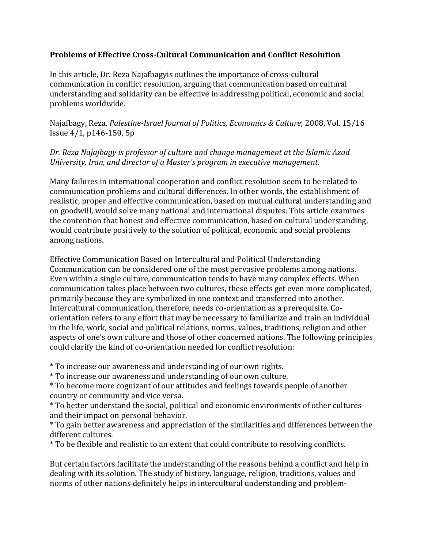## **Problems of Effective Cross-Cultural Communication and Conflict Resolution**

In this article, Dr. Reza Najafbagyis outlines the importance of cross-cultural communication in conflict resolution, arguing that communication based on cultural understanding and solidarity can be effective in addressing political, economic and social problems worldwide.

[Najafbagy, Reza.](javascript:__doLinkPostBack() *[Palestine-Israel Journal of Politics, Economics & Culture](javascript:__doLinkPostBack()*; 2008, Vol. 15/16 Issue 4/1, p146-150, 5p

## *Dr. Reza Najajbagy is professor of culture and change management at the Islamic Azad University, Iran, and director of a Master's program in executive management.*

Many failures in international cooperation and conflict resolution seem to be related to communication problems and cultural differences. In other words, the establishment of realistic, proper and effective communication, based on mutual cultural understanding and on goodwill, would solve many national and international disputes. This article examines the contention that honest and effective communication, based on cultural understanding, would contribute positively to the solution of political, economic and social problems among nations.

Effective Communication Based on Intercultural and Political Understanding Communication can be considered one of the most pervasive problems among nations. Even within a single culture, communication tends to have many complex effects. When communication takes place between two cultures, these effects get even more complicated, primarily because they are symbolized in one context and transferred into another. Intercultural communication, therefore, needs co-orientation as a prerequisite. Coorientation refers to any effort that may be necessary to familiarize and train an individual in the life, work, social and political relations, norms, values, traditions, religion and other aspects of one's own culture and those of other concerned nations. The following principles could clarify the kind of co-orientation needed for conflict resolution:

\* To increase our awareness and understanding of our own rights.

\* To increase our awareness and understanding of our own culture.

\* To become more cognizant of our attitudes and feelings towards people of another country or community and vice versa.

\* To better understand the social, political and economic environments of other cultures and their impact on personal behavior.

\* To gain better awareness and appreciation of the similarities and differences between the different cultures.

\* To be flexible and realistic to an extent that could contribute to resolving conflicts.

But certain factors facilitate the understanding of the reasons behind a conflict and help in dealing with its solution. The study of history, language, religion, traditions, values and norms of other nations definitely helps in intercultural understanding and problem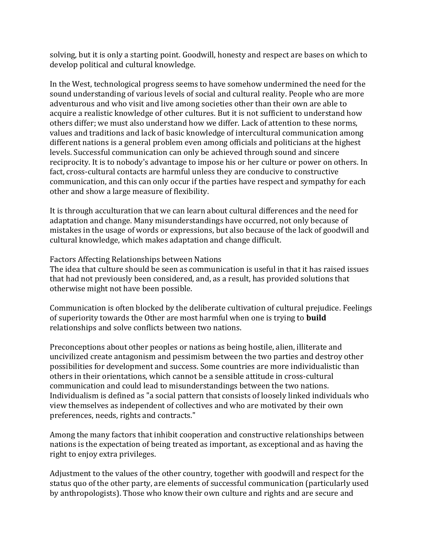solving, but it is only a starting point. Goodwill, honesty and respect are bases on which to develop political and cultural knowledge.

In the West, technological progress seems to have somehow undermined the need for the sound understanding of various levels of social and cultural reality. People who are more adventurous and who visit and live among societies other than their own are able to acquire a realistic knowledge of other cultures. But it is not sufficient to understand how others differ; we must also understand how we differ. Lack of attention to these norms, values and traditions and lack of basic knowledge of intercultural communication among different nations is a general problem even among officials and politicians at the highest levels. Successful communication can only be achieved through sound and sincere reciprocity. It is to nobody's advantage to impose his or her culture or power on others. In fact, cross-cultural contacts are harmful unless they are conducive to constructive communication, and this can only occur if the parties have respect and sympathy for each other and show a large measure of flexibility.

It is through acculturation that we can learn about cultural differences and the need for adaptation and change. Many misunderstandings have occurred, not only because of mistakes in the usage of words or expressions, but also because of the lack of goodwill and cultural knowledge, which makes adaptation and change difficult.

## Factors Affecting Relationships between Nations

The idea that culture should be seen as communication is useful in that it has raised issues that had not previously been considered, and, as a result, has provided solutions that otherwise might not have been possible.

Communication is often blocked by the deliberate cultivation of cultural prejudice. Feelings of superiority towards the Other are most harmful when one is trying to **build** relationships and solve conflicts between two nations.

Preconceptions about other peoples or nations as being hostile, alien, illiterate and uncivilized create antagonism and pessimism between the two parties and destroy other possibilities for development and success. Some countries are more individualistic than others in their orientations, which cannot be a sensible attitude in cross-cultural communication and could lead to misunderstandings between the two nations. Individualism is defined as "a social pattern that consists of loosely linked individuals who view themselves as independent of collectives and who are motivated by their own preferences, needs, rights and contracts."

Among the many factors that inhibit cooperation and constructive relationships between nations is the expectation of being treated as important, as exceptional and as having the right to enjoy extra privileges.

Adjustment to the values of the other country, together with goodwill and respect for the status quo of the other party, are elements of successful communication (particularly used by anthropologists). Those who know their own culture and rights and are secure and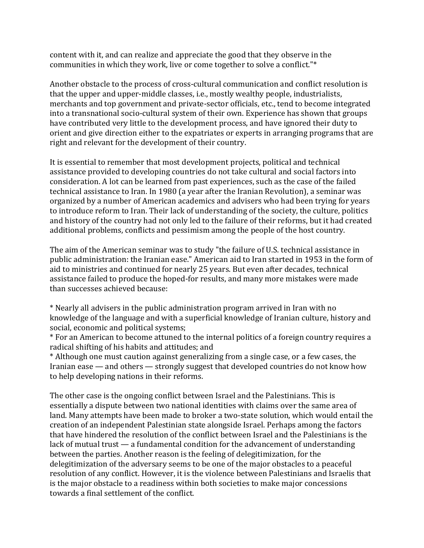content with it, and can realize and appreciate the good that they observe in the communities in which they work, live or come together to solve a conflict."\*

Another obstacle to the process of cross-cultural communication and conflict resolution is that the upper and upper-middle classes, i.e., mostly wealthy people, industrialists, merchants and top government and private-sector officials, etc., tend to become integrated into a transnational socio-cultural system of their own. Experience has shown that groups have contributed very little to the development process, and have ignored their duty to orient and give direction either to the expatriates or experts in arranging programs that are right and relevant for the development of their country.

It is essential to remember that most development projects, political and technical assistance provided to developing countries do not take cultural and social factors into consideration. A lot can be learned from past experiences, such as the case of the failed technical assistance to Iran. In 1980 (a year after the Iranian Revolution), a seminar was organized by a number of American academics and advisers who had been trying for years to introduce reform to Iran. Their lack of understanding of the society, the culture, politics and history of the country had not only led to the failure of their reforms, but it had created additional problems, conflicts and pessimism among the people of the host country.

The aim of the American seminar was to study "the failure of U.S. technical assistance in public administration: the Iranian ease." American aid to Iran started in 1953 in the form of aid to ministries and continued for nearly 25 years. But even after decades, technical assistance failed to produce the hoped-for results, and many more mistakes were made than successes achieved because:

\* Nearly all advisers in the public administration program arrived in Iran with no knowledge of the language and with a superficial knowledge of Iranian culture, history and social, economic and political systems;

\* For an American to become attuned to the internal politics of a foreign country requires a radical shifting of his habits and attitudes; and

\* Although one must caution against generalizing from a single case, or a few cases, the Iranian ease — and others — strongly suggest that developed countries do not know how to help developing nations in their reforms.

The other case is the ongoing conflict between Israel and the Palestinians. This is essentially a dispute between two national identities with claims over the same area of land. Many attempts have been made to broker a two-state solution, which would entail the creation of an independent Palestinian state alongside Israel. Perhaps among the factors that have hindered the resolution of the conflict between Israel and the Palestinians is the lack of mutual trust — a fundamental condition for the advancement of understanding between the parties. Another reason is the feeling of delegitimization, for the delegitimization of the adversary seems to be one of the major obstacles to a peaceful resolution of any conflict. However, it is the violence between Palestinians and Israelis that is the major obstacle to a readiness within both societies to make major concessions towards a final settlement of the conflict.